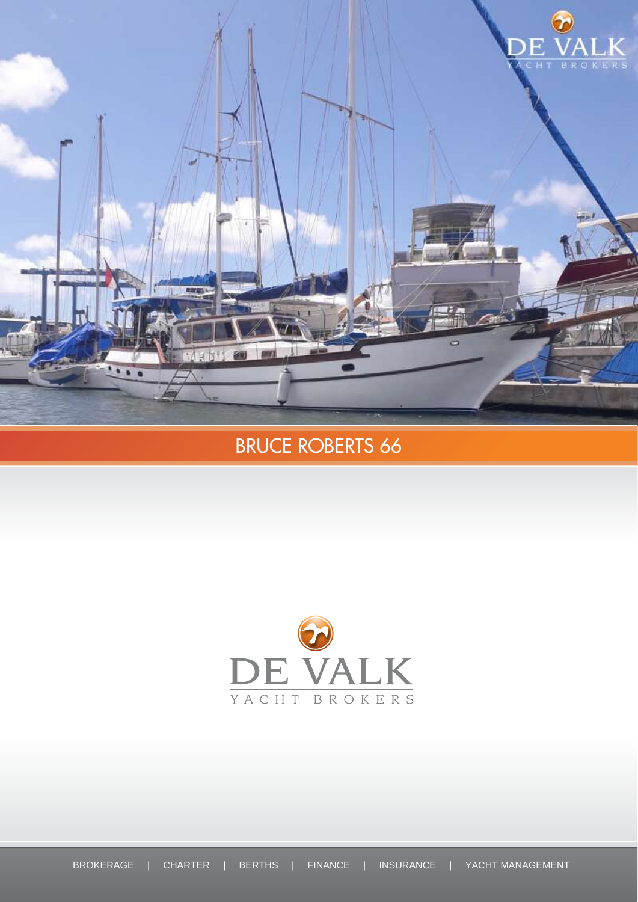

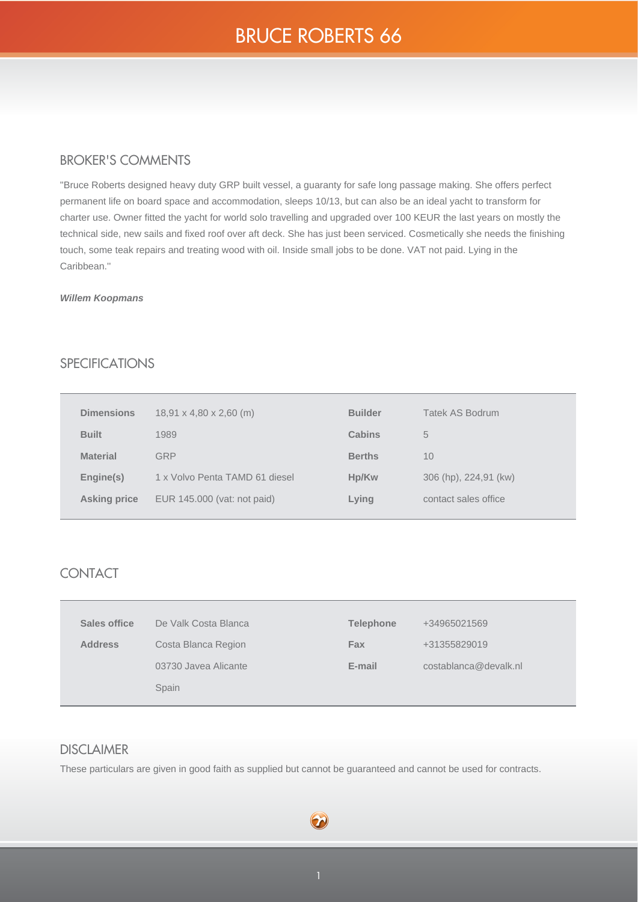#### **BROKER'S COMMENTS**

''Bruce Roberts designed heavy duty GRP built vessel, a guaranty for safe long passage making. She offers perfect permanent life on board space and accommodation, sleeps 10/13, but can also be an ideal yacht to transform for charter use. Owner fitted the yacht for world solo travelling and upgraded over 100 KEUR the last years on mostly the technical side, new sails and fixed roof over aft deck. She has just been serviced. Cosmetically she needs the finishing touch, some teak repairs and treating wood with oil. Inside small jobs to be done. VAT not paid. Lying in the Caribbean.''

#### **Willem Koopmans**

### **SPECIFICATIONS**

| <b>Dimensions</b>   | $18,91 \times 4,80 \times 2,60$ (m) | <b>Builder</b>     | Tatek AS Bodrum       |
|---------------------|-------------------------------------|--------------------|-----------------------|
| <b>Built</b>        | 1989                                | Cabins             | 5                     |
| <b>Material</b>     | GRP                                 | <b>Berths</b>      | 10                    |
| Engine(s)           | 1 x Volvo Penta TAMD 61 diesel      | H <sub>p</sub> /Kw | 306 (hp), 224,91 (kw) |
| <b>Asking price</b> | EUR 145.000 (vat: not paid)         | Lying              | contact sales office  |
|                     |                                     |                    |                       |

### **CONTACT**

| Sales office   | De Valk Costa Blanca | <b>Telephone</b> | +34965021569          |
|----------------|----------------------|------------------|-----------------------|
| <b>Address</b> | Costa Blanca Region  | <b>Fax</b>       | +31355829019          |
|                | 03730 Javea Alicante | E-mail           | costablanca@devalk.nl |
|                | Spain                |                  |                       |

### **DISCLAIMER**

These particulars are given in good faith as supplied but cannot be guaranteed and cannot be used for contracts.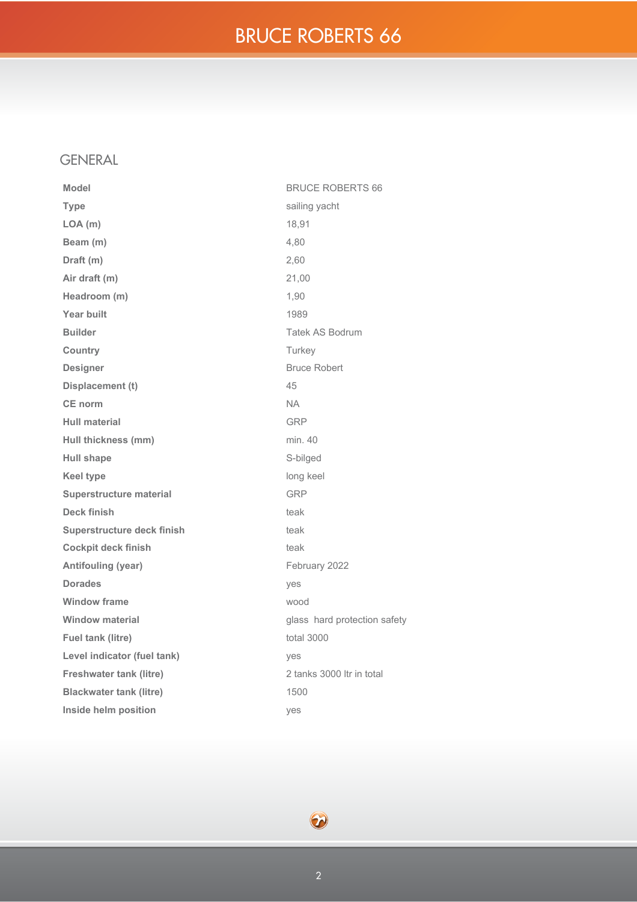## **GENERAL**

| <b>Model</b>                   | <b>BRUCE ROBERTS 66</b>      |
|--------------------------------|------------------------------|
| <b>Type</b>                    | sailing yacht                |
| $LOA$ (m)                      | 18,91                        |
| Beam (m)                       | 4,80                         |
| Draft (m)                      | 2,60                         |
| Air draft (m)                  | 21,00                        |
| Headroom (m)                   | 1,90                         |
| <b>Year built</b>              | 1989                         |
| <b>Builder</b>                 | <b>Tatek AS Bodrum</b>       |
| Country                        | Turkey                       |
| <b>Designer</b>                | <b>Bruce Robert</b>          |
| Displacement (t)               | 45                           |
| CE norm                        | <b>NA</b>                    |
| <b>Hull material</b>           | <b>GRP</b>                   |
| Hull thickness (mm)            | min. 40                      |
| <b>Hull shape</b>              | S-bilged                     |
| <b>Keel type</b>               | long keel                    |
| <b>Superstructure material</b> | GRP                          |
| <b>Deck finish</b>             | teak                         |
| Superstructure deck finish     | teak                         |
| <b>Cockpit deck finish</b>     | teak                         |
| Antifouling (year)             | February 2022                |
| <b>Dorades</b>                 | yes                          |
| <b>Window frame</b>            | wood                         |
| <b>Window material</b>         | glass hard protection safety |
| Fuel tank (litre)              | total 3000                   |
| Level indicator (fuel tank)    | ves                          |
| <b>Freshwater tank (litre)</b> | 2 tanks 3000 Itr in total    |
| <b>Blackwater tank (litre)</b> | 1500                         |
| Inside helm position           | yes                          |

 $\bigcirc$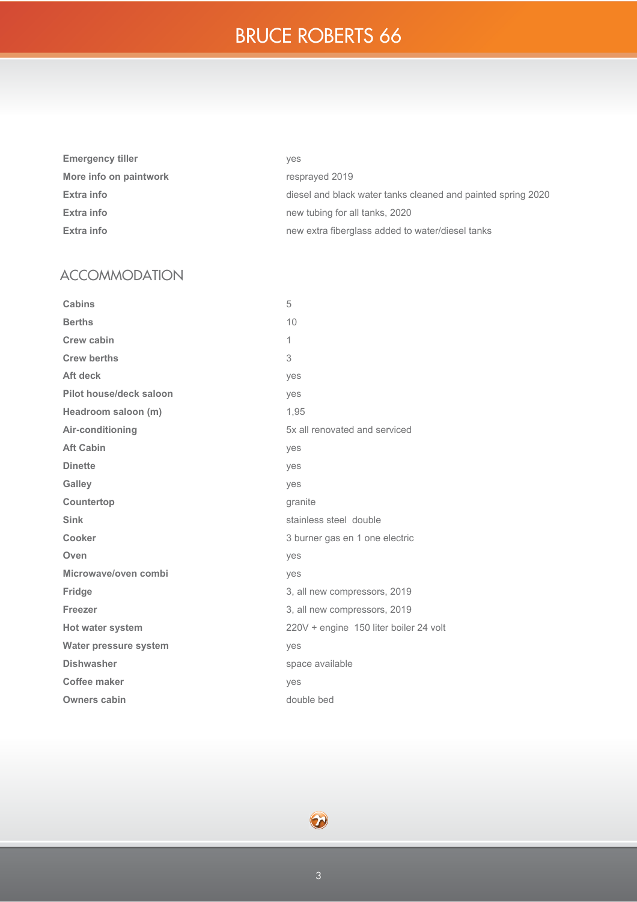| <b>Emergency tiller</b> | ves                                                          |
|-------------------------|--------------------------------------------------------------|
| More info on paintwork  | resprayed 2019                                               |
| Extra info              | diesel and black water tanks cleaned and painted spring 2020 |
| Extra info              | new tubing for all tanks, 2020                               |
| Extra info              | new extra fiberglass added to water/diesel tanks             |

## **ACCOMMODATION**

| 5                                      |
|----------------------------------------|
| 10                                     |
| 1                                      |
| 3                                      |
| yes                                    |
| yes                                    |
| 1,95                                   |
| 5x all renovated and serviced          |
| yes                                    |
| yes                                    |
| yes                                    |
| granite                                |
| stainless steel double                 |
| 3 burner gas en 1 one electric         |
| yes                                    |
| ves                                    |
| 3, all new compressors, 2019           |
| 3, all new compressors, 2019           |
| 220V + engine 150 liter boiler 24 volt |
| yes                                    |
| space available                        |
| yes                                    |
| double bed                             |
|                                        |

 $\bigodot$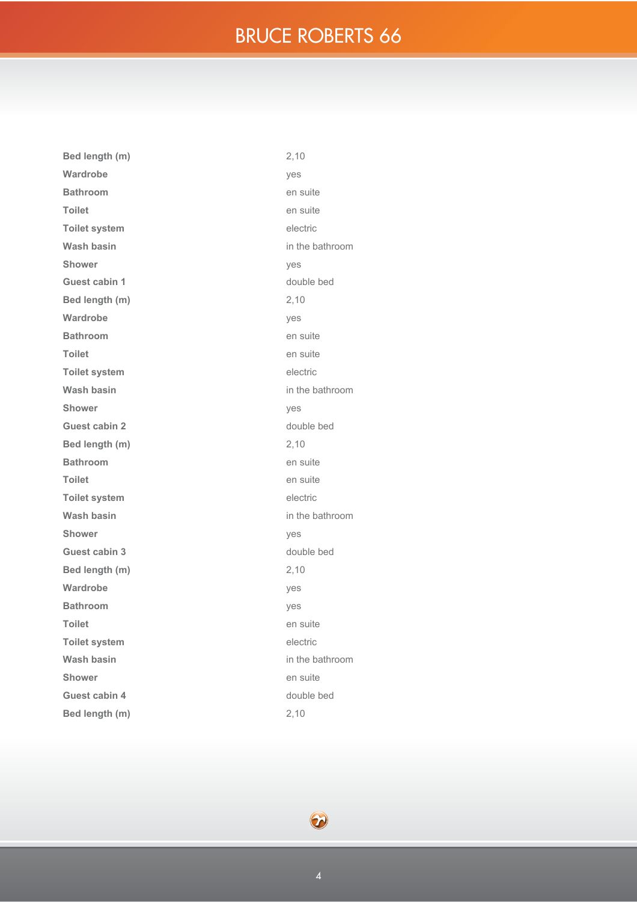**Bed length (m) 2,10 Wardrobe yes Bathroom en** suite **Toilet en suite Toilet system electric Wash basin in** the bathroom **Shower yes Guest cabin 1 double bed Bed length (m) 2,10 Wardrobe yes Bathroom en** suite **Toilet en suite Toilet system electric Wash basin in the bathroom Shower yes Guest cabin 2 double bed Bed length (m) 2,10 Bathroom en** suite **Toilet en suite Toilet system electric Wash basin in the bathroom Shower yes Guest cabin 3 double bed Bed length (m) 2,10 Wardrobe yes Bathroom yes Toilet en suite Toilet system electric Wash basin in** the bathroom **Shower en** suite **Guest cabin 4 double bed Bed length (m) 2,10**

 $\odot$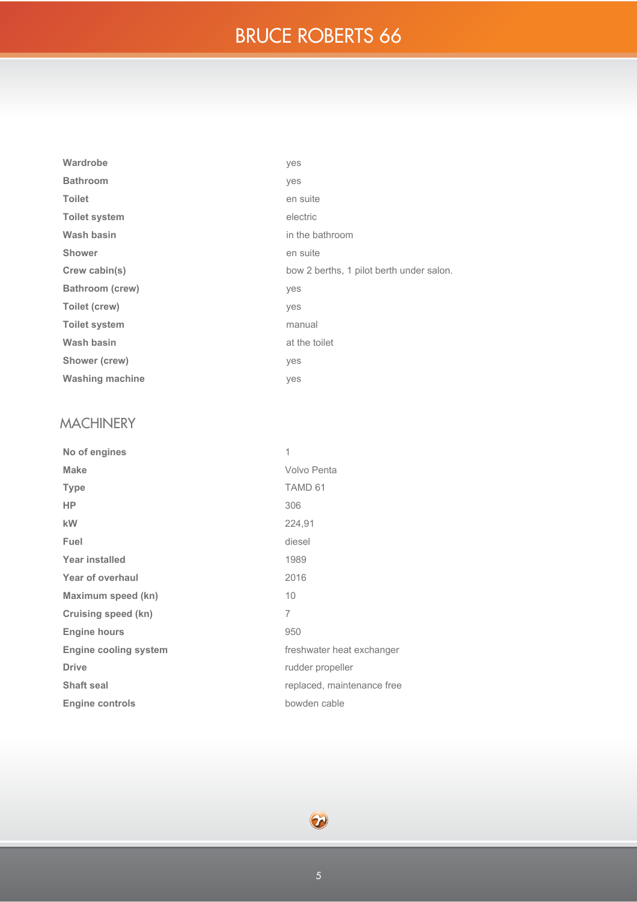| Wardrobe               | yes                                      |
|------------------------|------------------------------------------|
| <b>Bathroom</b>        | yes                                      |
| <b>Toilet</b>          | en suite                                 |
| <b>Toilet system</b>   | electric                                 |
| Wash basin             | in the bathroom                          |
| <b>Shower</b>          | en suite                                 |
| Crew cabin(s)          | bow 2 berths, 1 pilot berth under salon. |
| Bathroom (crew)        | yes                                      |
| Toilet (crew)          | yes                                      |
| <b>Toilet system</b>   | manual                                   |
| Wash basin             | at the toilet                            |
| Shower (crew)          | yes                                      |
| <b>Washing machine</b> | yes                                      |

## **MACHINERY**

| No of engines                | 1                          |
|------------------------------|----------------------------|
| <b>Make</b>                  | Volvo Penta                |
| <b>Type</b>                  | TAMD <sub>61</sub>         |
| <b>HP</b>                    | 306                        |
| kW                           | 224,91                     |
| Fuel                         | diesel                     |
| Year installed               | 1989                       |
| Year of overhaul             | 2016                       |
| Maximum speed (kn)           | 10                         |
| Cruising speed (kn)          | 7                          |
| <b>Engine hours</b>          | 950                        |
| <b>Engine cooling system</b> | freshwater heat exchanger  |
| <b>Drive</b>                 | rudder propeller           |
| <b>Shaft seal</b>            | replaced, maintenance free |
| <b>Engine controls</b>       | bowden cable               |

 $\bigcirc$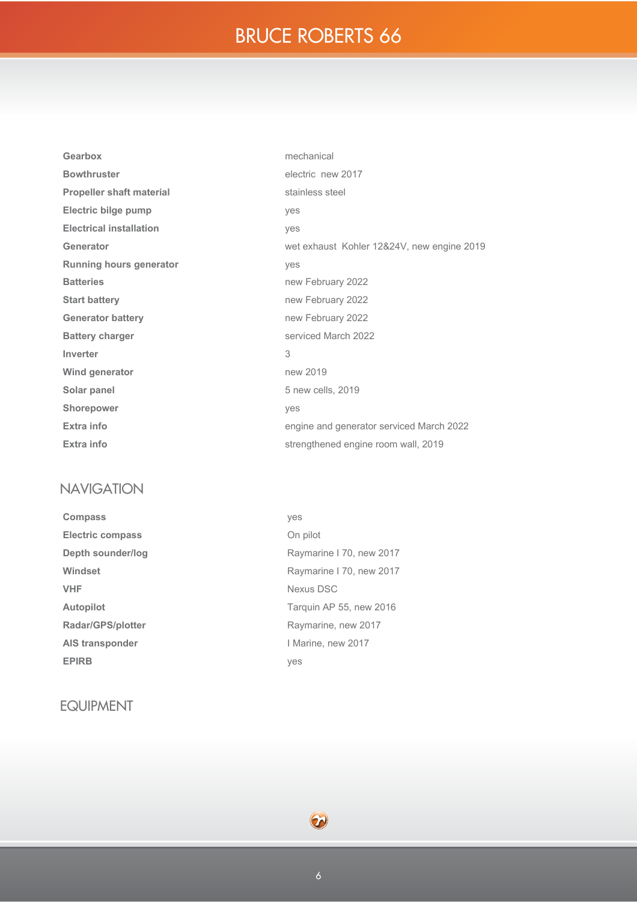| Gearbox                         | mechanical                                 |
|---------------------------------|--------------------------------------------|
| <b>Bowthruster</b>              | electric new 2017                          |
| <b>Propeller shaft material</b> | stainless steel                            |
| Electric bilge pump             | yes                                        |
| <b>Electrical installation</b>  | yes                                        |
| Generator                       | wet exhaust Kohler 12&24V, new engine 2019 |
| Running hours generator         | yes                                        |
| <b>Batteries</b>                | new February 2022                          |
| <b>Start battery</b>            | new February 2022                          |
| <b>Generator battery</b>        | new February 2022                          |
| <b>Battery charger</b>          | serviced March 2022                        |
| Inverter                        | 3                                          |
| Wind generator                  | new 2019                                   |
| Solar panel                     | 5 new cells, 2019                          |
| <b>Shorepower</b>               | yes                                        |
| Extra info                      | engine and generator serviced March 2022   |
| Extra info                      | strengthened engine room wall, 2019        |

## **NAVIGATION**

| <b>Compass</b>          | yes                      |
|-------------------------|--------------------------|
| <b>Electric compass</b> | On pilot                 |
| Depth sounder/log       | Raymarine I 70, new 2017 |
| Windset                 | Raymarine I 70, new 2017 |
| <b>VHF</b>              | Nexus DSC                |
| <b>Autopilot</b>        | Tarquin AP 55, new 2016  |
| Radar/GPS/plotter       | Raymarine, new 2017      |
| AIS transponder         | I Marine, new 2017       |
| <b>EPIRB</b>            | yes                      |

## **EQUIPMENT**

 $\odot$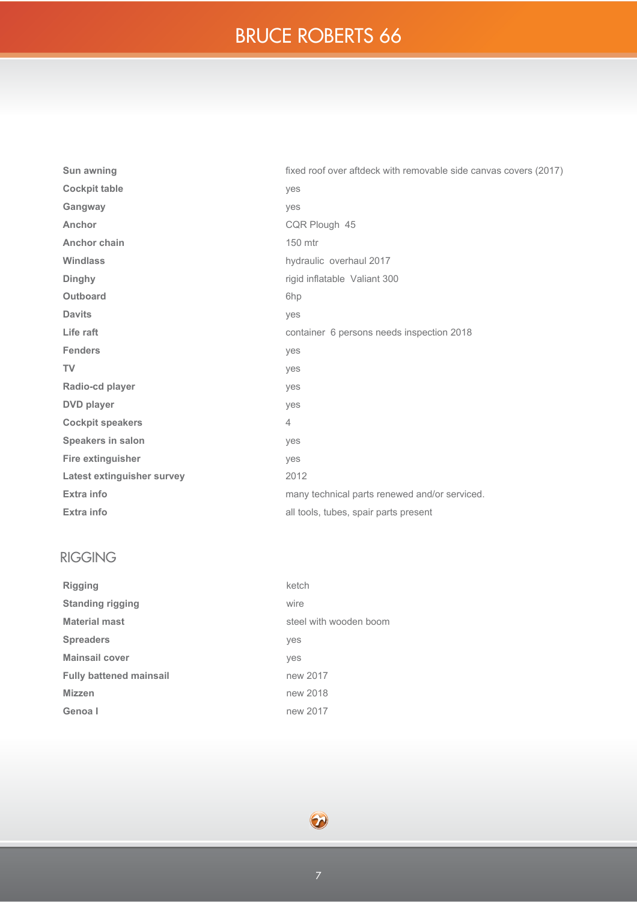| Sun awning                 | fixed roof over aftdeck with removable side canvas covers (2017) |
|----------------------------|------------------------------------------------------------------|
| <b>Cockpit table</b>       | yes                                                              |
| Gangway                    | yes                                                              |
| Anchor                     | CQR Plough 45                                                    |
| Anchor chain               | 150 mtr                                                          |
| <b>Windlass</b>            | hydraulic overhaul 2017                                          |
| <b>Dinghy</b>              | rigid inflatable Valiant 300                                     |
| <b>Outboard</b>            | 6hp                                                              |
| <b>Davits</b>              | yes                                                              |
| Life raft                  | container 6 persons needs inspection 2018                        |
| <b>Fenders</b>             | yes                                                              |
| <b>TV</b>                  | yes                                                              |
| Radio-cd player            | ves                                                              |
| <b>DVD</b> player          | yes                                                              |
| <b>Cockpit speakers</b>    | $\overline{4}$                                                   |
| Speakers in salon          | yes                                                              |
| Fire extinguisher          | yes                                                              |
| Latest extinguisher survey | 2012                                                             |
| <b>Extra info</b>          | many technical parts renewed and/or serviced.                    |
| <b>Extra info</b>          | all tools, tubes, spair parts present                            |

## **RIGGING**

| <b>Rigging</b>                 | ketch                  |
|--------------------------------|------------------------|
| <b>Standing rigging</b>        | wire                   |
| <b>Material mast</b>           | steel with wooden boom |
| <b>Spreaders</b>               | yes                    |
| <b>Mainsail cover</b>          | yes                    |
| <b>Fully battened mainsail</b> | new 2017               |
| <b>Mizzen</b>                  | new 2018               |
| Genoa I                        | new 2017               |

 $\odot$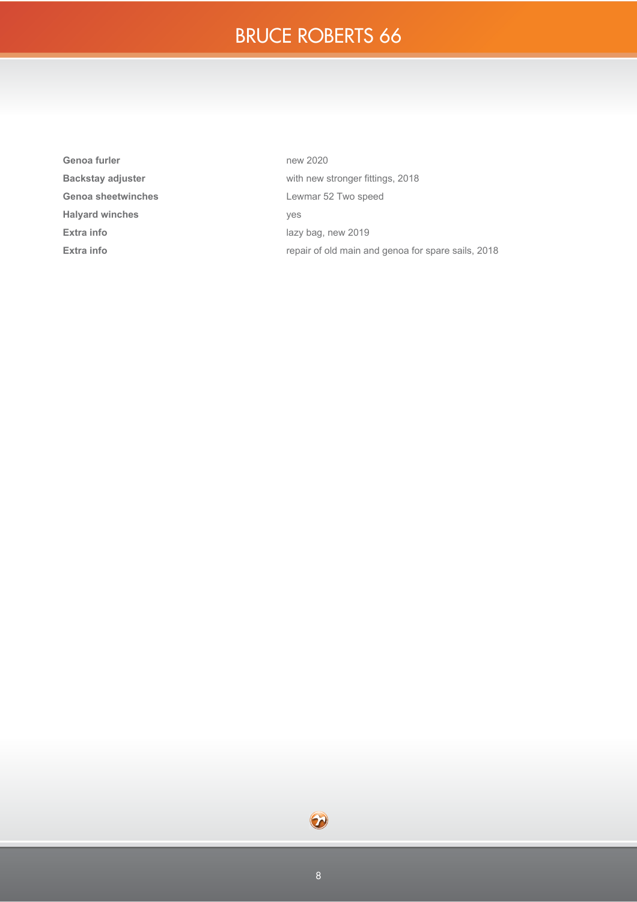**Genoa furler new 2020 Halyard winches yes Extra info lazy bag, new 2019**

**Backstay adjuster with new stronger fittings, 2018 Genoa sheetwinches Lewmar 52 Two speed Extra info repair of old main and genoa for spare sails, 2018**

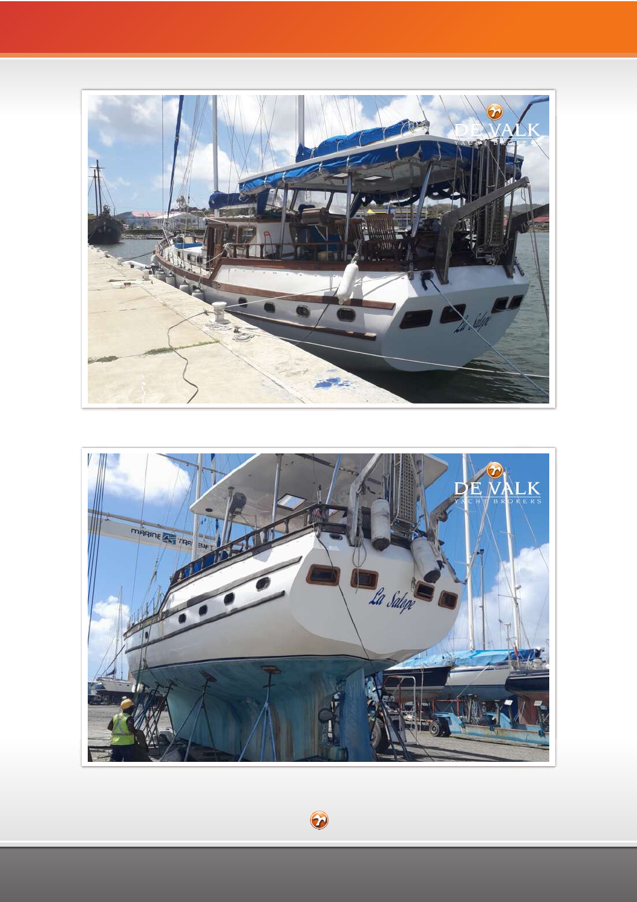# % 5 8 & ( 5 2 % ( 5 7 6



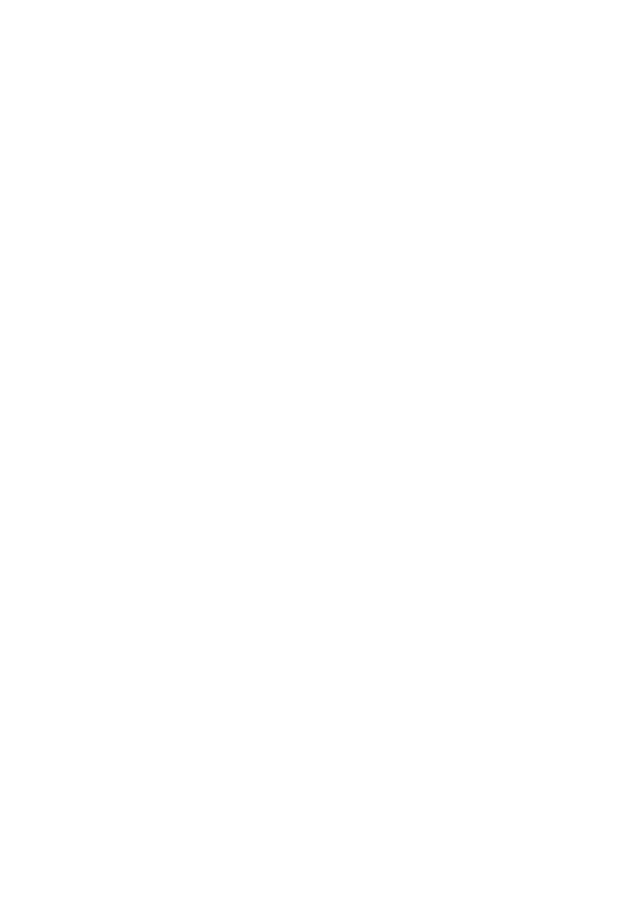| ---- |  |
|------|--|
|      |  |
|      |  |
|      |  |
|      |  |
|      |  |
|      |  |
|      |  |
|      |  |
|      |  |
|      |  |
|      |  |
|      |  |
|      |  |
|      |  |
|      |  |
|      |  |
|      |  |
|      |  |
|      |  |
|      |  |
|      |  |
|      |  |
|      |  |
|      |  |
|      |  |
|      |  |
|      |  |
|      |  |
|      |  |
|      |  |
|      |  |
|      |  |
|      |  |
|      |  |
|      |  |
|      |  |
|      |  |
|      |  |
|      |  |
|      |  |
|      |  |
|      |  |
|      |  |
|      |  |
|      |  |
|      |  |
|      |  |
|      |  |
|      |  |
|      |  |
|      |  |
|      |  |
|      |  |
|      |  |
|      |  |
|      |  |
|      |  |
|      |  |

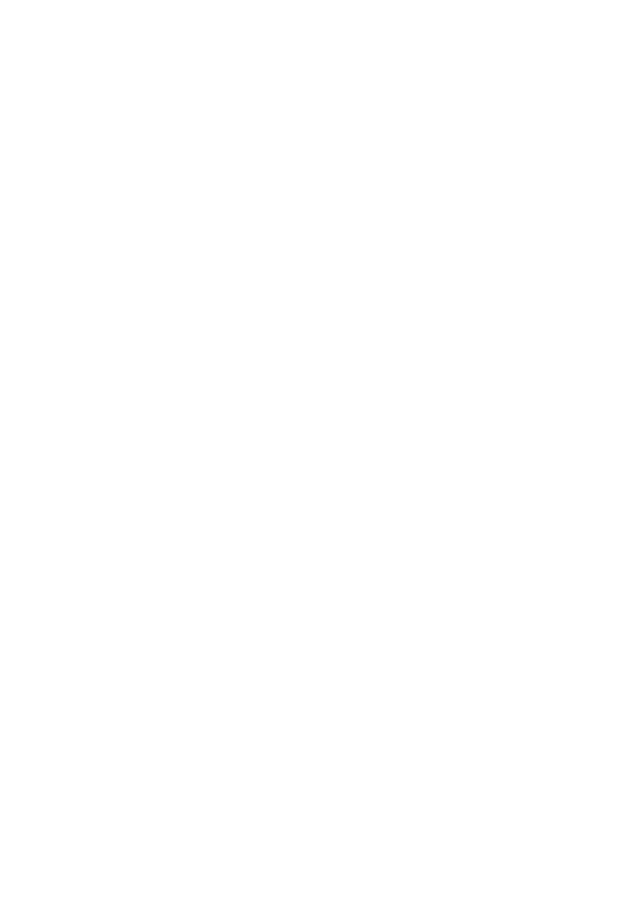| ---- |  |
|------|--|
|      |  |
|      |  |
|      |  |
|      |  |
|      |  |
|      |  |
|      |  |
|      |  |
|      |  |
|      |  |
|      |  |
|      |  |
|      |  |
|      |  |
|      |  |
|      |  |
|      |  |
|      |  |
|      |  |
|      |  |
|      |  |
|      |  |
|      |  |
|      |  |
|      |  |
|      |  |
|      |  |
|      |  |
|      |  |
|      |  |
|      |  |
|      |  |
|      |  |
|      |  |
|      |  |
|      |  |
|      |  |
|      |  |
|      |  |
|      |  |
|      |  |
|      |  |
|      |  |
|      |  |
|      |  |
|      |  |
|      |  |
|      |  |
|      |  |
|      |  |
|      |  |
|      |  |
|      |  |
|      |  |
|      |  |
|      |  |
|      |  |
|      |  |

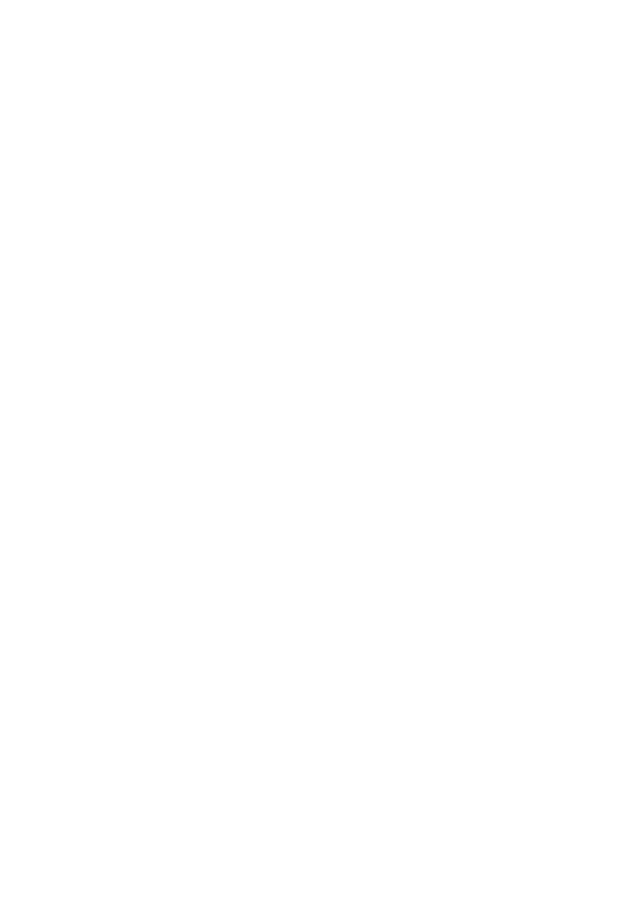| ---- |  |
|------|--|
|      |  |
|      |  |
|      |  |
|      |  |
|      |  |
|      |  |
|      |  |
|      |  |
|      |  |
|      |  |
|      |  |
|      |  |
|      |  |
|      |  |
|      |  |
|      |  |
|      |  |
|      |  |
|      |  |
|      |  |
|      |  |
|      |  |
|      |  |
|      |  |
|      |  |
|      |  |
|      |  |
|      |  |
|      |  |
|      |  |
|      |  |
|      |  |
|      |  |
|      |  |
|      |  |
|      |  |
|      |  |
|      |  |
|      |  |
|      |  |
|      |  |
|      |  |
|      |  |
|      |  |
|      |  |
|      |  |
|      |  |
|      |  |
|      |  |
|      |  |
|      |  |
|      |  |
|      |  |
|      |  |
|      |  |
|      |  |
|      |  |
|      |  |

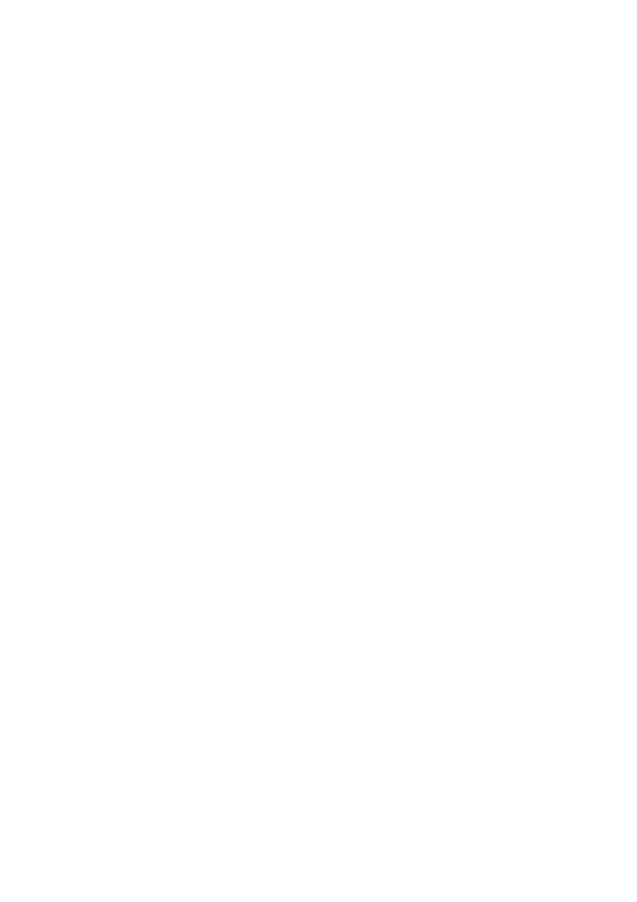| ---- |  |
|------|--|
|      |  |
|      |  |
|      |  |
|      |  |
|      |  |
|      |  |
|      |  |
|      |  |
|      |  |
|      |  |
|      |  |
|      |  |
|      |  |
|      |  |
|      |  |
|      |  |
|      |  |
|      |  |
|      |  |
|      |  |
|      |  |
|      |  |
|      |  |
|      |  |
|      |  |
|      |  |
|      |  |
|      |  |
|      |  |
|      |  |
|      |  |
|      |  |
|      |  |
|      |  |
|      |  |
|      |  |
|      |  |
|      |  |
|      |  |
|      |  |
|      |  |
|      |  |
|      |  |
|      |  |
|      |  |
|      |  |
|      |  |
|      |  |
|      |  |
|      |  |
|      |  |
|      |  |
|      |  |
|      |  |
|      |  |
|      |  |
|      |  |
|      |  |

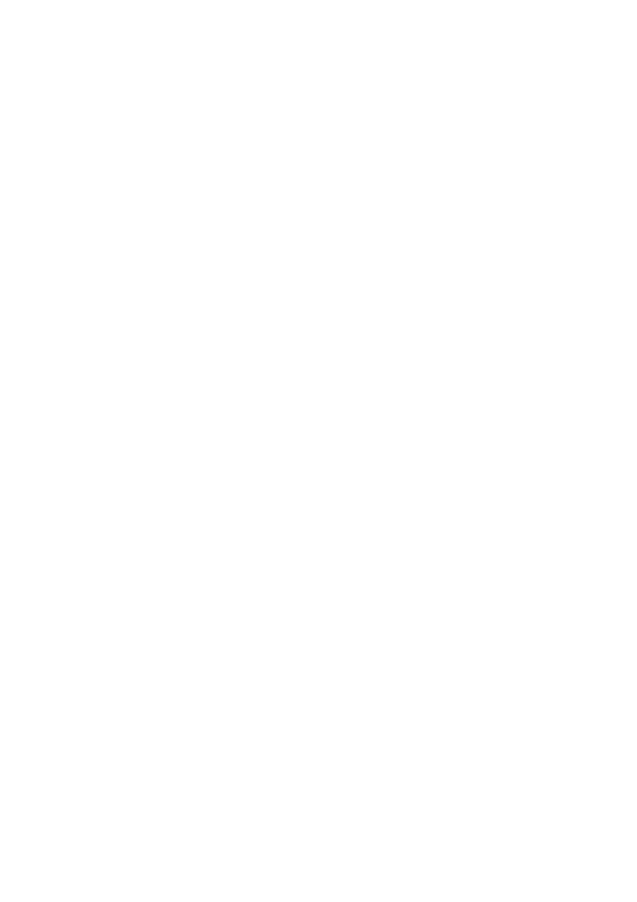| ---- |  |
|------|--|
|      |  |
|      |  |
|      |  |
|      |  |
|      |  |
|      |  |
|      |  |
|      |  |
|      |  |
|      |  |
|      |  |
|      |  |
|      |  |
|      |  |
|      |  |
|      |  |
|      |  |
|      |  |
|      |  |
|      |  |
|      |  |
|      |  |
|      |  |
|      |  |
|      |  |
|      |  |
|      |  |
|      |  |
|      |  |
|      |  |
|      |  |
|      |  |
|      |  |
|      |  |
|      |  |
|      |  |
|      |  |
|      |  |
|      |  |
|      |  |
|      |  |
|      |  |
|      |  |
|      |  |
|      |  |
|      |  |
|      |  |
|      |  |
|      |  |
|      |  |
|      |  |
|      |  |
|      |  |
|      |  |
|      |  |
|      |  |
|      |  |
|      |  |

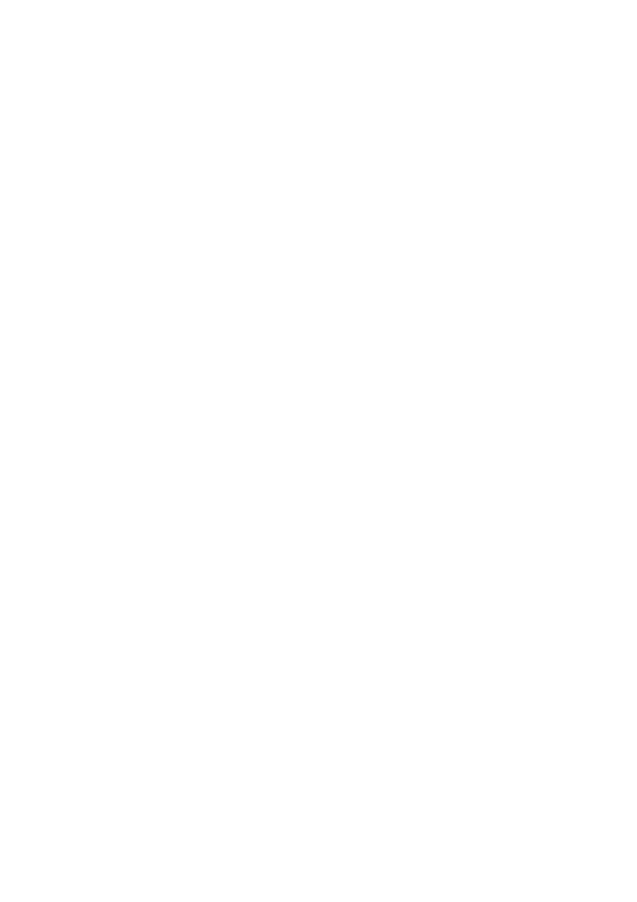| ---- |  |
|------|--|
|      |  |
|      |  |
|      |  |
|      |  |
|      |  |
|      |  |
|      |  |
|      |  |
|      |  |
|      |  |
|      |  |
|      |  |
|      |  |
|      |  |
|      |  |
|      |  |
|      |  |
|      |  |
|      |  |
|      |  |
|      |  |
|      |  |
|      |  |
|      |  |
|      |  |
|      |  |
|      |  |
|      |  |
|      |  |
|      |  |
|      |  |
|      |  |
|      |  |
|      |  |
|      |  |
|      |  |
|      |  |
|      |  |
|      |  |
|      |  |
|      |  |
|      |  |
|      |  |
|      |  |
|      |  |
|      |  |
|      |  |
|      |  |
|      |  |
|      |  |
|      |  |
|      |  |
|      |  |
|      |  |
|      |  |
|      |  |
|      |  |
|      |  |

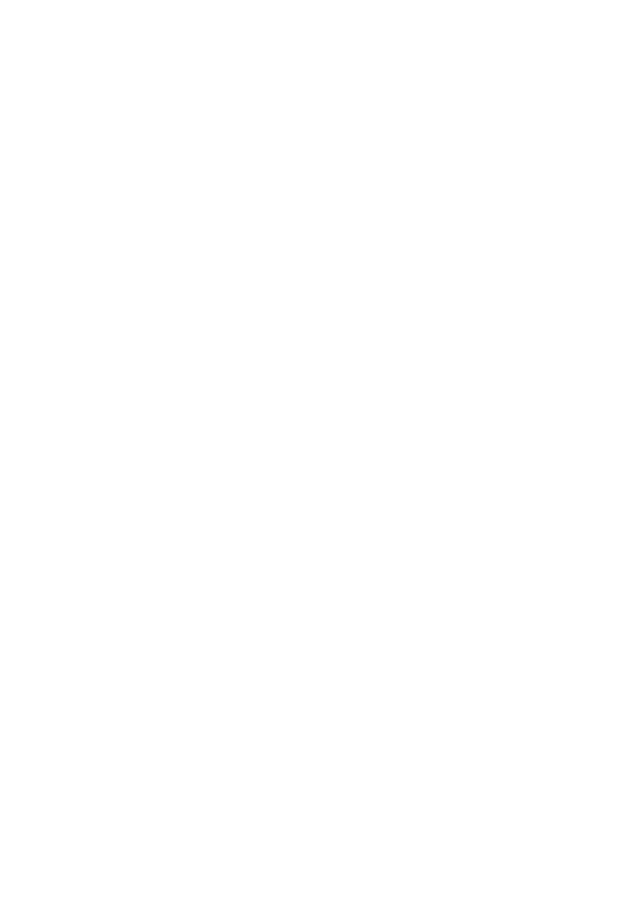| ---- |  |
|------|--|
|      |  |
|      |  |
|      |  |
|      |  |
|      |  |
|      |  |
|      |  |
|      |  |
|      |  |
|      |  |
|      |  |
|      |  |
|      |  |
|      |  |
|      |  |
|      |  |
|      |  |
|      |  |
|      |  |
|      |  |
|      |  |
|      |  |
|      |  |
|      |  |
|      |  |
|      |  |
|      |  |
|      |  |
|      |  |
|      |  |
|      |  |
|      |  |
|      |  |
|      |  |
|      |  |
|      |  |
|      |  |
|      |  |
|      |  |
|      |  |
|      |  |
|      |  |
|      |  |
|      |  |
|      |  |
|      |  |
|      |  |
|      |  |
|      |  |
|      |  |
|      |  |
|      |  |
|      |  |
|      |  |
|      |  |
|      |  |
|      |  |
|      |  |

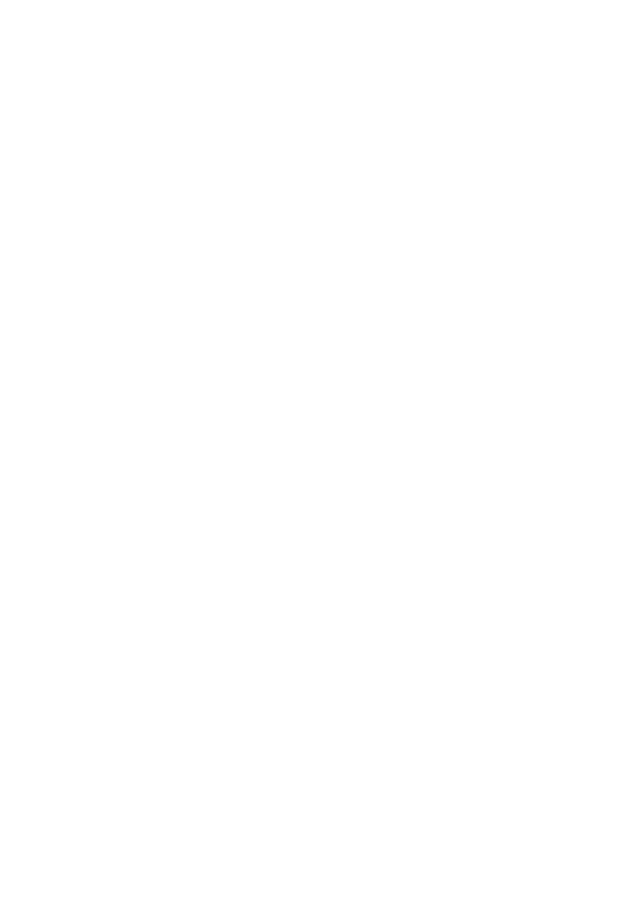| ---- |  |
|------|--|
|      |  |
|      |  |
|      |  |
|      |  |
|      |  |
|      |  |
|      |  |
|      |  |
|      |  |
|      |  |
|      |  |
|      |  |
|      |  |
|      |  |
|      |  |
|      |  |
|      |  |
|      |  |
|      |  |
|      |  |
|      |  |
|      |  |
|      |  |
|      |  |
|      |  |
|      |  |
|      |  |
|      |  |
|      |  |
|      |  |
|      |  |
|      |  |
|      |  |
|      |  |
|      |  |
|      |  |
|      |  |
|      |  |
|      |  |
|      |  |
|      |  |
|      |  |
|      |  |
|      |  |
|      |  |
|      |  |
|      |  |
|      |  |
|      |  |
|      |  |
|      |  |
|      |  |
|      |  |
|      |  |
|      |  |
|      |  |
|      |  |
|      |  |

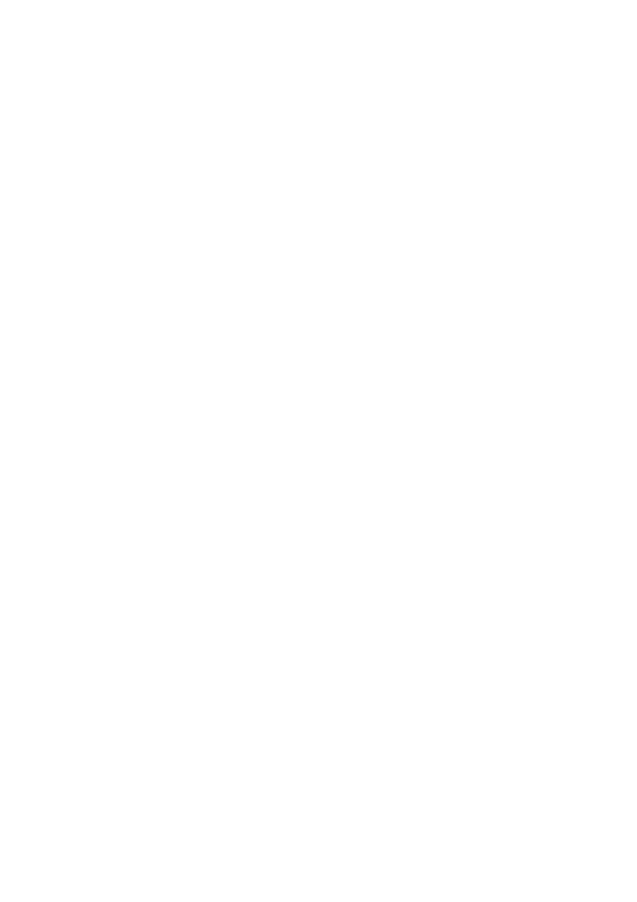| ---- |  |
|------|--|
|      |  |
|      |  |
|      |  |
|      |  |
|      |  |
|      |  |
|      |  |
|      |  |
|      |  |
|      |  |
|      |  |
|      |  |
|      |  |
|      |  |
|      |  |
|      |  |
|      |  |
|      |  |
|      |  |
|      |  |
|      |  |
|      |  |
|      |  |
|      |  |
|      |  |
|      |  |
|      |  |
|      |  |
|      |  |
|      |  |
|      |  |
|      |  |
|      |  |
|      |  |
|      |  |
|      |  |
|      |  |
|      |  |
|      |  |
|      |  |
|      |  |
|      |  |
|      |  |
|      |  |
|      |  |
|      |  |
|      |  |
|      |  |
|      |  |
|      |  |
|      |  |
|      |  |
|      |  |
|      |  |
|      |  |
|      |  |
|      |  |
|      |  |

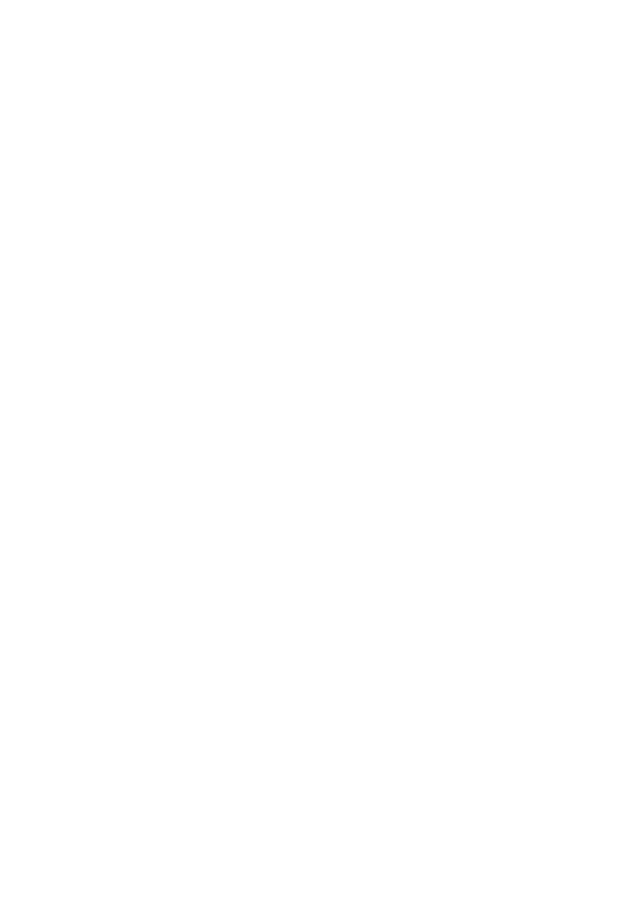| ---- |  |
|------|--|
|      |  |
|      |  |
|      |  |
|      |  |
|      |  |
|      |  |
|      |  |
|      |  |
|      |  |
|      |  |
|      |  |
|      |  |
|      |  |
|      |  |
|      |  |
|      |  |
|      |  |
|      |  |
|      |  |
|      |  |
|      |  |
|      |  |
|      |  |
|      |  |
|      |  |
|      |  |
|      |  |
|      |  |
|      |  |
|      |  |
|      |  |
|      |  |
|      |  |
|      |  |
|      |  |
|      |  |
|      |  |
|      |  |
|      |  |
|      |  |
|      |  |
|      |  |
|      |  |
|      |  |
|      |  |
|      |  |
|      |  |
|      |  |
|      |  |
|      |  |
|      |  |
|      |  |
|      |  |
|      |  |
|      |  |
|      |  |
|      |  |
|      |  |

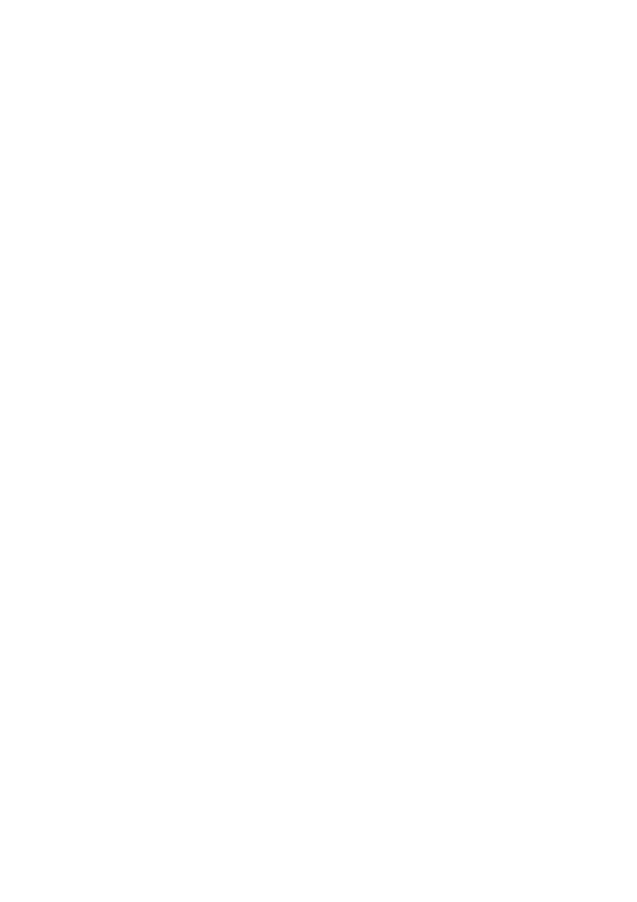| ---- |  |
|------|--|
|      |  |
|      |  |
|      |  |
|      |  |
|      |  |
|      |  |
|      |  |
|      |  |
|      |  |
|      |  |
|      |  |
|      |  |
|      |  |
|      |  |
|      |  |
|      |  |
|      |  |
|      |  |
|      |  |
|      |  |
|      |  |
|      |  |
|      |  |
|      |  |
|      |  |
|      |  |
|      |  |
|      |  |
|      |  |
|      |  |
|      |  |
|      |  |
|      |  |
|      |  |
|      |  |
|      |  |
|      |  |
|      |  |
|      |  |
|      |  |
|      |  |
|      |  |
|      |  |
|      |  |
|      |  |
|      |  |
|      |  |
|      |  |
|      |  |
|      |  |
|      |  |
|      |  |
|      |  |
|      |  |
|      |  |
|      |  |
|      |  |
|      |  |

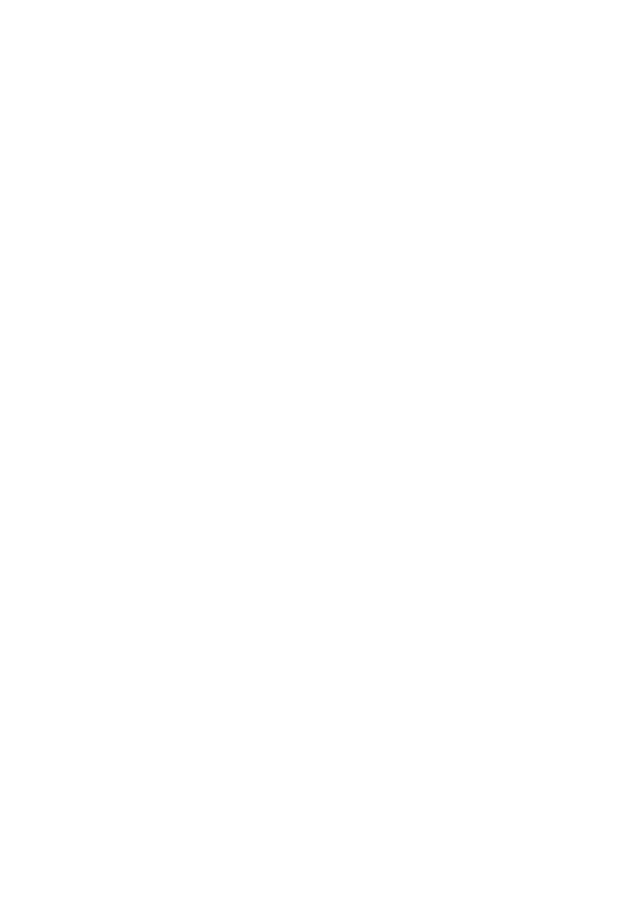| ---- |  |
|------|--|
|      |  |
|      |  |
|      |  |
|      |  |
|      |  |
|      |  |
|      |  |
|      |  |
|      |  |
|      |  |
|      |  |
|      |  |
|      |  |
|      |  |
|      |  |
|      |  |
|      |  |
|      |  |
|      |  |
|      |  |
|      |  |
|      |  |
|      |  |
|      |  |
|      |  |
|      |  |
|      |  |
|      |  |
|      |  |
|      |  |
|      |  |
|      |  |
|      |  |
|      |  |
|      |  |
|      |  |
|      |  |
|      |  |
|      |  |
|      |  |
|      |  |
|      |  |
|      |  |
|      |  |
|      |  |
|      |  |
|      |  |
|      |  |
|      |  |
|      |  |
|      |  |
|      |  |
|      |  |
|      |  |
|      |  |
|      |  |
|      |  |
|      |  |

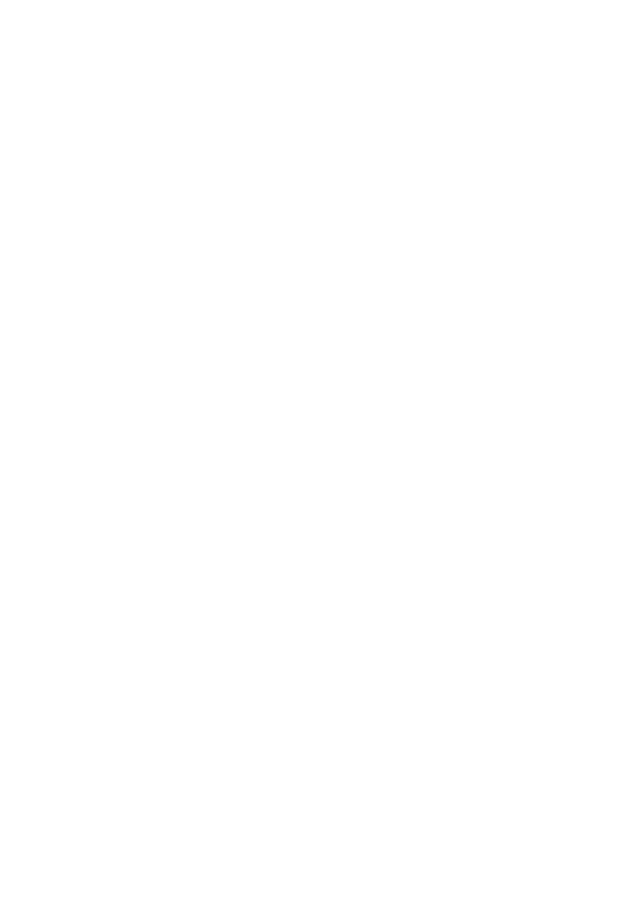| ---- |  |
|------|--|
|      |  |
|      |  |
|      |  |
|      |  |
|      |  |
|      |  |
|      |  |
|      |  |
|      |  |
|      |  |
|      |  |
|      |  |
|      |  |
|      |  |
|      |  |
|      |  |
|      |  |
|      |  |
|      |  |
|      |  |
|      |  |
|      |  |
|      |  |
|      |  |
|      |  |
|      |  |
|      |  |
|      |  |
|      |  |
|      |  |
|      |  |
|      |  |
|      |  |
|      |  |
|      |  |
|      |  |
|      |  |
|      |  |
|      |  |
|      |  |
|      |  |
|      |  |
|      |  |
|      |  |
|      |  |
|      |  |
|      |  |
|      |  |
|      |  |
|      |  |
|      |  |
|      |  |
|      |  |
|      |  |
|      |  |
|      |  |
|      |  |
|      |  |

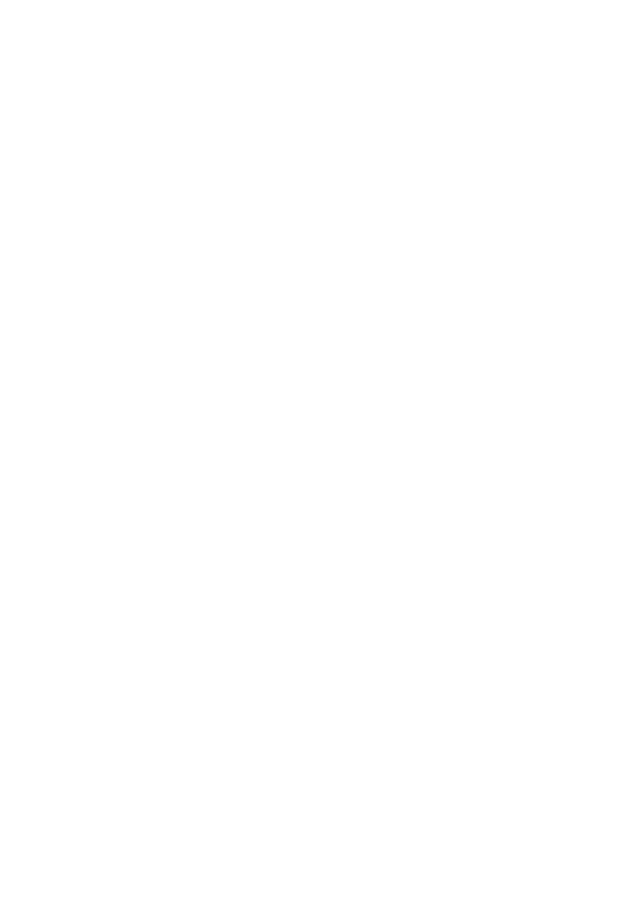| ---- |  |
|------|--|
|      |  |
|      |  |
|      |  |
|      |  |
|      |  |
|      |  |
|      |  |
|      |  |
|      |  |
|      |  |
|      |  |
|      |  |
|      |  |
|      |  |
|      |  |
|      |  |
|      |  |
|      |  |
|      |  |
|      |  |
|      |  |
|      |  |
|      |  |
|      |  |
|      |  |
|      |  |
|      |  |
|      |  |
|      |  |
|      |  |
|      |  |
|      |  |
|      |  |
|      |  |
|      |  |
|      |  |
|      |  |
|      |  |
|      |  |
|      |  |
|      |  |
|      |  |
|      |  |
|      |  |
|      |  |
|      |  |
|      |  |
|      |  |
|      |  |
|      |  |
|      |  |
|      |  |
|      |  |
|      |  |
|      |  |
|      |  |
|      |  |
|      |  |

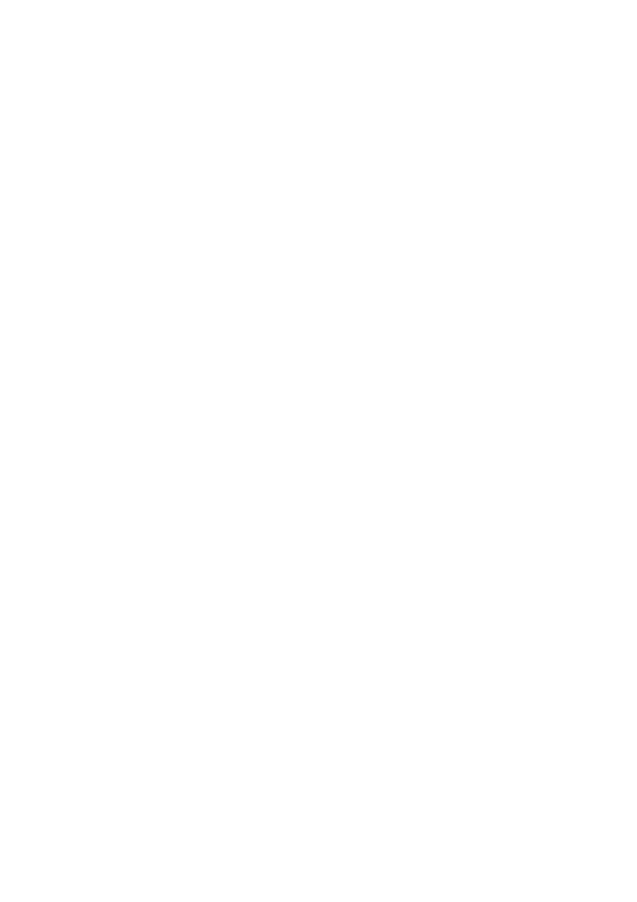| ---- |  |
|------|--|
|      |  |
|      |  |
|      |  |
|      |  |
|      |  |
|      |  |
|      |  |
|      |  |
|      |  |
|      |  |
|      |  |
|      |  |
|      |  |
|      |  |
|      |  |
|      |  |
|      |  |
|      |  |
|      |  |
|      |  |
|      |  |
|      |  |
|      |  |
|      |  |
|      |  |
|      |  |
|      |  |
|      |  |
|      |  |
|      |  |
|      |  |
|      |  |
|      |  |
|      |  |
|      |  |
|      |  |
|      |  |
|      |  |
|      |  |
|      |  |
|      |  |
|      |  |
|      |  |
|      |  |
|      |  |
|      |  |
|      |  |
|      |  |
|      |  |
|      |  |
|      |  |
|      |  |
|      |  |
|      |  |
|      |  |
|      |  |
|      |  |
|      |  |

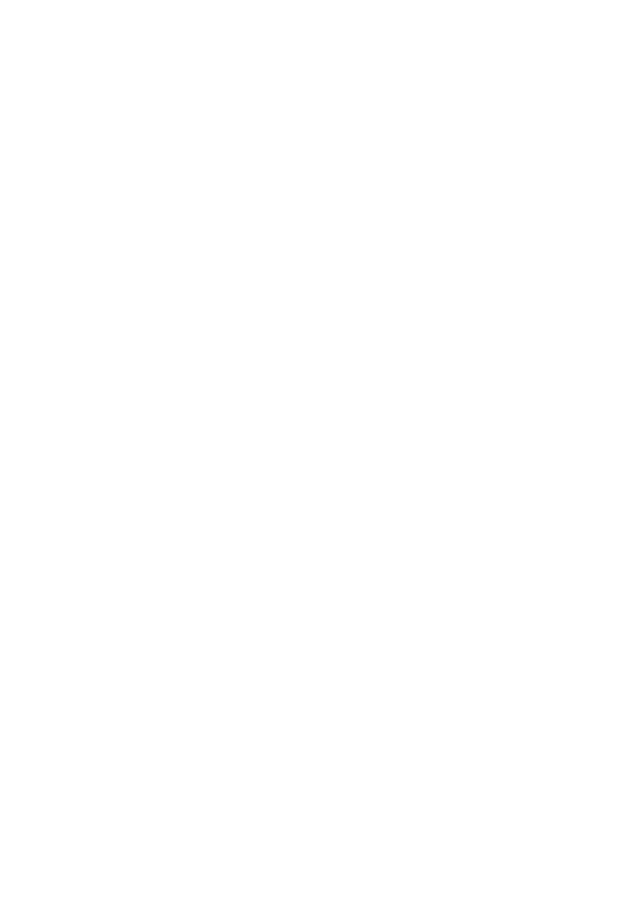| ---- |  |
|------|--|
|      |  |
|      |  |
|      |  |
|      |  |
|      |  |
|      |  |
|      |  |
|      |  |
|      |  |
|      |  |
|      |  |
|      |  |
|      |  |
|      |  |
|      |  |
|      |  |
|      |  |
|      |  |
|      |  |
|      |  |
|      |  |
|      |  |
|      |  |
|      |  |
|      |  |
|      |  |
|      |  |
|      |  |
|      |  |
|      |  |
|      |  |
|      |  |
|      |  |
|      |  |
|      |  |
|      |  |
|      |  |
|      |  |
|      |  |
|      |  |
|      |  |
|      |  |
|      |  |
|      |  |
|      |  |
|      |  |
|      |  |
|      |  |
|      |  |
|      |  |
|      |  |
|      |  |
|      |  |
|      |  |
|      |  |
|      |  |
|      |  |
|      |  |

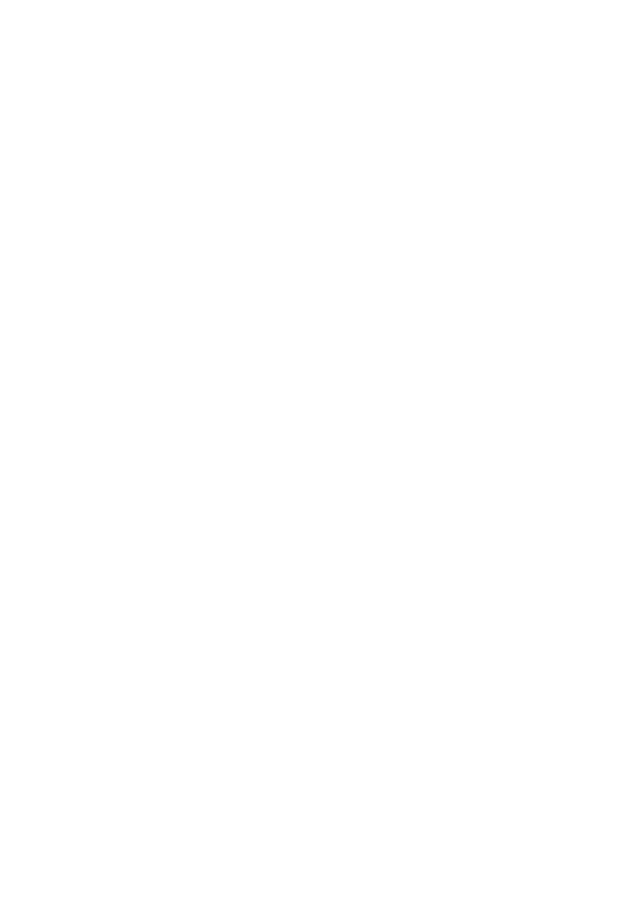| ---- |  |
|------|--|
|      |  |
|      |  |
|      |  |
|      |  |
|      |  |
|      |  |
|      |  |
|      |  |
|      |  |
|      |  |
|      |  |
|      |  |
|      |  |
|      |  |
|      |  |
|      |  |
|      |  |
|      |  |
|      |  |
|      |  |
|      |  |
|      |  |
|      |  |
|      |  |
|      |  |
|      |  |
|      |  |
|      |  |
|      |  |
|      |  |
|      |  |
|      |  |
|      |  |
|      |  |
|      |  |
|      |  |
|      |  |
|      |  |
|      |  |
|      |  |
|      |  |
|      |  |
|      |  |
|      |  |
|      |  |
|      |  |
|      |  |
|      |  |
|      |  |
|      |  |
|      |  |
|      |  |
|      |  |
|      |  |
|      |  |
|      |  |
|      |  |
|      |  |